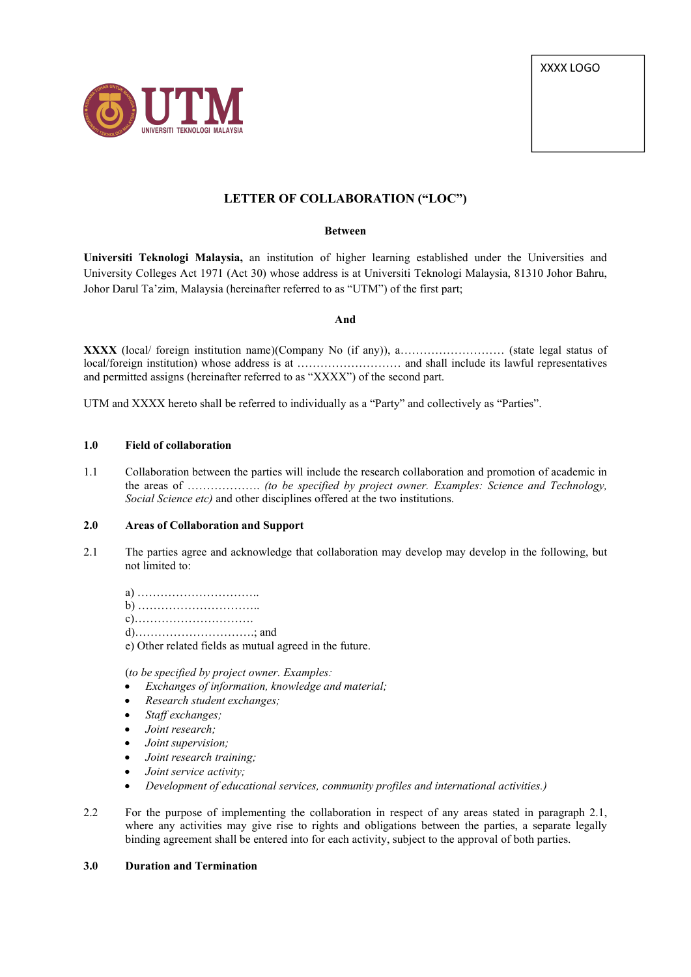XXXX LOGO



# **LETTER OF COLLABORATION ("LOC")**

#### **Between**

**Universiti Teknologi Malaysia,** an institution of higher learning established under the Universities and University Colleges Act 1971 (Act 30) whose address is at Universiti Teknologi Malaysia, 81310 Johor Bahru, Johor Darul Ta'zim, Malaysia (hereinafter referred to as"UTM") of the first part;

#### **And**

**XXXX** (local/ foreign institution name)(Company No (if any)), a……………………… (state legal status of local/foreign institution) whose address is at ……………………… and shall include its lawful representatives and permitted assigns (hereinafter referred to as"XXXX") of the second part.

UTM and XXXX hereto shall be referred to individually as a "Party" and collectively as "Parties".

#### **1.0 Field of collaboration**

1.1 Collaboration between the parties will include the research collaboration and promotion of academic in the areas of ………………. *(to be specified by project owner. Examples: Science and Technology, Social Science etc)* and other disciplines offered at the two institutions.

## **2.0 Areas ofCollaboration and Support**

- 2.1 The parties agree and acknowledge that collaboration may develop may develop in the following, but not limited to:
	- a) ………………………….. b) ………………………….. c)…………………………. d)………………………….; and e) Other related fields as mutual agreed in the future.

(*to be specified by project owner. Examples:*

- *Exchanges of information, knowledge and material;*
- *Research student exchanges;*
- *Staf exchanges;*
- *Joint research;*
- *Joint supervision;*
- *Joint research training;*
- *Joint service activity;*
- *Development of educational services, community profiles and international activities.)*
- 2.2 For the purpose of implementing the collaboration in respect of any areas stated in paragraph 2.1, where any activities may give rise to rights and obligations between the parties, a separate legally binding agreement shall be entered into for each activity, subject to the approval of both parties.

## **3.0 Duration and Termination**